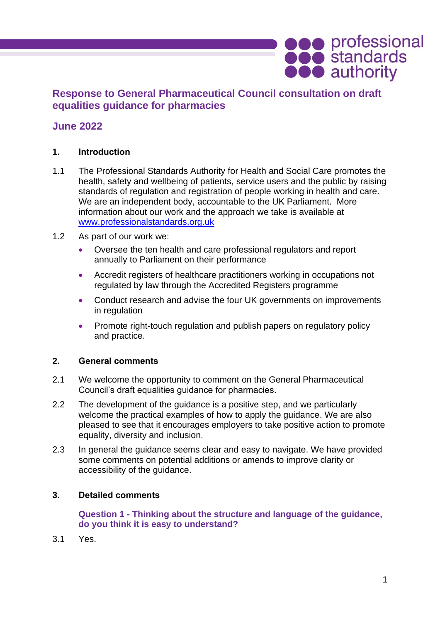# **Response to General Pharmaceutical Council consultation on draft equalities guidance for pharmacies**

## **June 2022**

### **1. Introduction**

- 1.1 The Professional Standards Authority for Health and Social Care promotes the health, safety and wellbeing of patients, service users and the public by raising standards of regulation and registration of people working in health and care. We are an independent body, accountable to the UK Parliament. More information about our work and the approach we take is available at [www.professionalstandards.org.uk](http://www.professionalstandards.org.uk/)
- 1.2 As part of our work we:
	- Oversee the ten health and care professional regulators and report annually to Parliament on their performance
	- Accredit registers of healthcare practitioners working in occupations not regulated by law through the Accredited Registers programme
	- Conduct research and advise the four UK governments on improvements in regulation
	- Promote right-touch regulation and publish papers on regulatory policy and practice.

#### **2. General comments**

- 2.1 We welcome the opportunity to comment on the General Pharmaceutical Council's draft equalities guidance for pharmacies.
- 2.2 The development of the guidance is a positive step, and we particularly welcome the practical examples of how to apply the guidance. We are also pleased to see that it encourages employers to take positive action to promote equality, diversity and inclusion.
- 2.3 In general the guidance seems clear and easy to navigate. We have provided some comments on potential additions or amends to improve clarity or accessibility of the guidance.

#### **3. Detailed comments**

**Question 1 - Thinking about the structure and language of the guidance, do you think it is easy to understand?**

3.1 Yes.

**OOO** professional<br> **OOO** authority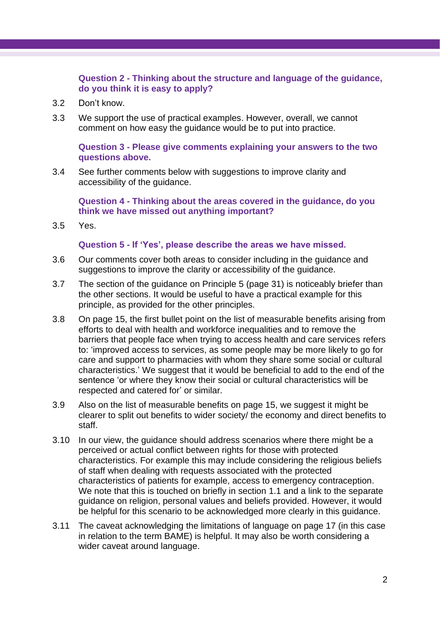### **Question 2 - Thinking about the structure and language of the guidance, do you think it is easy to apply?**

- 3.2 Don't know.
- 3.3 We support the use of practical examples. However, overall, we cannot comment on how easy the guidance would be to put into practice.

**Question 3 - Please give comments explaining your answers to the two questions above.**

3.4 See further comments below with suggestions to improve clarity and accessibility of the guidance.

**Question 4 - Thinking about the areas covered in the guidance, do you think we have missed out anything important?**

3.5 Yes.

#### **Question 5 - If 'Yes', please describe the areas we have missed.**

- 3.6 Our comments cover both areas to consider including in the guidance and suggestions to improve the clarity or accessibility of the guidance.
- 3.7 The section of the guidance on Principle 5 (page 31) is noticeably briefer than the other sections. It would be useful to have a practical example for this principle, as provided for the other principles.
- 3.8 On page 15, the first bullet point on the list of measurable benefits arising from efforts to deal with health and workforce inequalities and to remove the barriers that people face when trying to access health and care services refers to: 'improved access to services, as some people may be more likely to go for care and support to pharmacies with whom they share some social or cultural characteristics.' We suggest that it would be beneficial to add to the end of the sentence 'or where they know their social or cultural characteristics will be respected and catered for' or similar.
- 3.9 Also on the list of measurable benefits on page 15, we suggest it might be clearer to split out benefits to wider society/ the economy and direct benefits to staff.
- 3.10 In our view, the guidance should address scenarios where there might be a perceived or actual conflict between rights for those with protected characteristics. For example this may include considering the religious beliefs of staff when dealing with requests associated with the protected characteristics of patients for example, access to emergency contraception. We note that this is touched on briefly in section 1.1 and a link to the separate guidance on religion, personal values and beliefs provided. However, it would be helpful for this scenario to be acknowledged more clearly in this guidance.
- 3.11 The caveat acknowledging the limitations of language on page 17 (in this case in relation to the term BAME) is helpful. It may also be worth considering a wider caveat around language.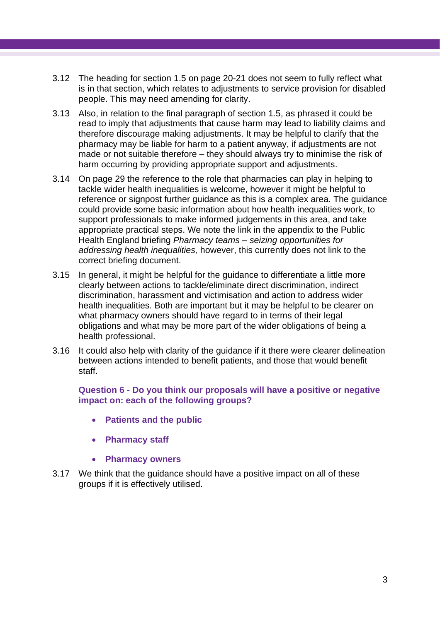- 3.12 The heading for section 1.5 on page 20-21 does not seem to fully reflect what is in that section, which relates to adjustments to service provision for disabled people. This may need amending for clarity.
- 3.13 Also, in relation to the final paragraph of section 1.5, as phrased it could be read to imply that adjustments that cause harm may lead to liability claims and therefore discourage making adjustments. It may be helpful to clarify that the pharmacy may be liable for harm to a patient anyway, if adjustments are not made or not suitable therefore – they should always try to minimise the risk of harm occurring by providing appropriate support and adjustments.
- 3.14 On page 29 the reference to the role that pharmacies can play in helping to tackle wider health inequalities is welcome, however it might be helpful to reference or signpost further guidance as this is a complex area. The guidance could provide some basic information about how health inequalities work, to support professionals to make informed judgements in this area, and take appropriate practical steps. We note the link in the appendix to the Public Health England briefing *Pharmacy teams – seizing opportunities for addressing health inequalities,* however, this currently does not link to the correct briefing document.
- 3.15 In general, it might be helpful for the guidance to differentiate a little more clearly between actions to tackle/eliminate direct discrimination, indirect discrimination, harassment and victimisation and action to address wider health inequalities. Both are important but it may be helpful to be clearer on what pharmacy owners should have regard to in terms of their legal obligations and what may be more part of the wider obligations of being a health professional.
- 3.16 It could also help with clarity of the guidance if it there were clearer delineation between actions intended to benefit patients, and those that would benefit staff.

**Question 6 - Do you think our proposals will have a positive or negative impact on: each of the following groups?** 

- **Patients and the public**
- **Pharmacy staff**
- **Pharmacy owners**
- 3.17 We think that the guidance should have a positive impact on all of these groups if it is effectively utilised.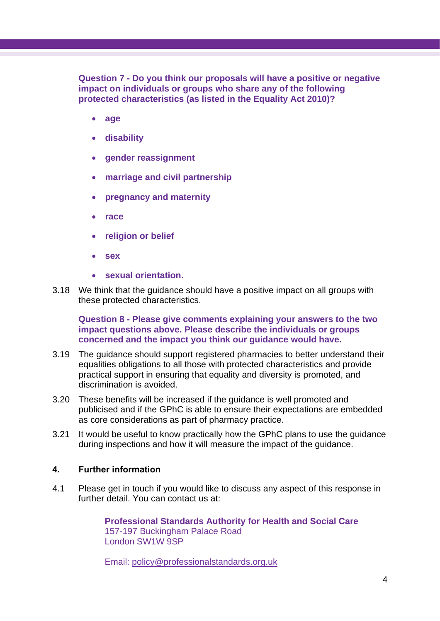**Question 7 - Do you think our proposals will have a positive or negative impact on individuals or groups who share any of the following protected characteristics (as listed in the Equality Act 2010)?** 

- **age**
- **disability**
- **gender reassignment**
- **marriage and civil partnership**
- **pregnancy and maternity**
- **race**
- **religion or belief**
- **sex**
- **sexual orientation.**
- 3.18 We think that the guidance should have a positive impact on all groups with these protected characteristics.

**Question 8 - Please give comments explaining your answers to the two impact questions above. Please describe the individuals or groups concerned and the impact you think our guidance would have.**

- 3.19 The guidance should support registered pharmacies to better understand their equalities obligations to all those with protected characteristics and provide practical support in ensuring that equality and diversity is promoted, and discrimination is avoided.
- 3.20 These benefits will be increased if the guidance is well promoted and publicised and if the GPhC is able to ensure their expectations are embedded as core considerations as part of pharmacy practice.
- 3.21 It would be useful to know practically how the GPhC plans to use the guidance during inspections and how it will measure the impact of the guidance.

#### **4. Further information**

4.1 Please get in touch if you would like to discuss any aspect of this response in further detail. You can contact us at:

> **Professional Standards Authority for Health and Social Care** 157-197 Buckingham Palace Road London SW1W 9SP

Email: [policy@professionalstandards.org.uk](mailto:policy@professionalstandards.org.uk)